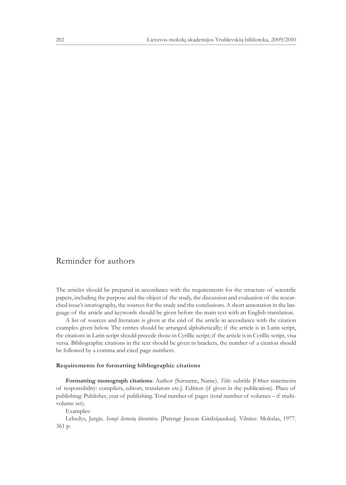## Reminder for authors

The articles should be prepared in accordance with the requirements for the structure of scientific papers, including the purpose and the object of the study, the discussion and evaluation of the researched issue's istoriography, the sources for the study and the conclusions. A short annotation in the language of the article and keywords should be given before the main text with an English translation.

A list of sources and literature is given at the end of the article in accordance with the citation examples given below. The entries should be arranged alphabetically; if the article is in Latin script, the citations in Latin script should precede those in Cyrillic script; if the article is in Cyrillic script, visa versa. Bibliographic citations in the text should be given in brackets, the number of a citation should be followed by a comma and cited page numbers.

## **Requirements for formatting bibliographic citations**

**Formatting monograph citations**: Author (Surname, Name). *Title*: subtitle [Other statements of responsibility: compilers, editors, translators etc.]. Edition (if given in the publication). Place of publishing: Publisher, year of publishing. Total number of pages (total number of volumes – if multivolume set).

Examples:

Lebedys, Jurgis. *Senoji lietuvių literatūra.* [Parengė Juozas Girdzijauskas]. Vilnius: Mokslas, 1977. 361 p.